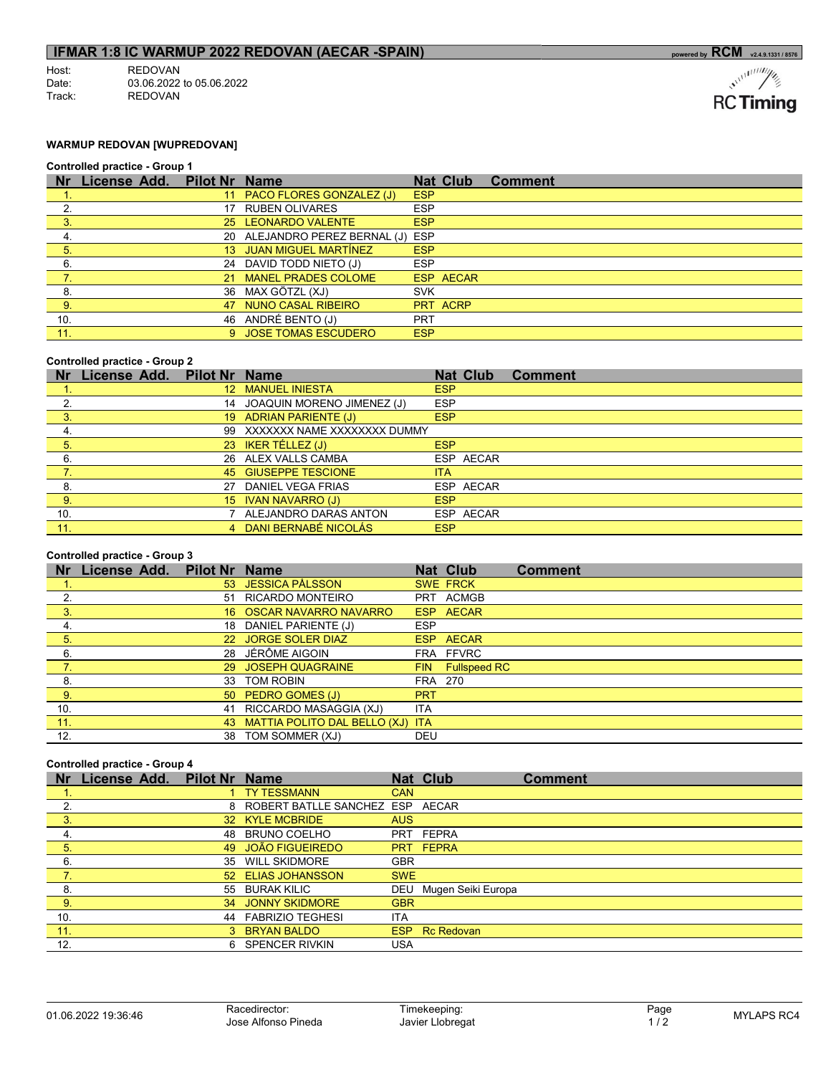## **IFMAR 1:8 IC WARMUP 2022 REDOVAN (AECAR -SPAIN)** powered by RCM powered by RCM v2.4.9.1331/8576

| Host <sup>.</sup> | <b>REDOVAN</b>           |
|-------------------|--------------------------|
| Date:             | 03.06.2022 to 05.06.2022 |
| Track:            | <b>REDOVAN</b>           |

$$
\text{RC}\,\text{Timing}
$$

## WARMUP REDOVAN [WUPREDOVAN]

#### Controlled practice - Group 1

| <b>Nr</b> | License Add. | <b>Pilot Nr Name</b> |                                   |            | <b>Nat Club</b> | <b>Comment</b> |
|-----------|--------------|----------------------|-----------------------------------|------------|-----------------|----------------|
|           |              |                      | 11 PACO FLORES GONZALEZ (J)       | <b>ESP</b> |                 |                |
|           |              |                      | 17 RUBEN OLIVARES                 | <b>ESP</b> |                 |                |
|           |              |                      | 25 LEONARDO VALENTE               | <b>ESP</b> |                 |                |
| 4.        |              |                      | 20 ALEJANDRO PEREZ BERNAL (J) ESP |            |                 |                |
| 5.        |              |                      | 13 JUAN MIGUEL MARTÍNEZ           | <b>ESP</b> |                 |                |
| 6.        |              |                      | 24 DAVID TODD NIETO (J)           | <b>ESP</b> |                 |                |
|           |              |                      | 21 MANEL PRADES COLOME            |            | ESP AECAR       |                |
| -8.       |              |                      | 36 MAX GÖTZL (XJ)                 | <b>SVK</b> |                 |                |
| -9.       |              |                      | 47 NUNO CASAL RIBEIRO             |            | PRT ACRP        |                |
| 10.       |              |                      | 46 ANDRÉ BENTO (J)                | <b>PRT</b> |                 |                |
| 11.       |              |                      | 9 JOSE TOMAS ESCUDERO             | <b>ESP</b> |                 |                |

#### Controlled practice - Group 2

| <b>Nr</b> | License Add. | <b>Pilot Nr Name</b> |                                |            | <b>Nat Club</b> | <b>Comment</b> |
|-----------|--------------|----------------------|--------------------------------|------------|-----------------|----------------|
|           |              |                      | 12 MANUEL INIESTA              | <b>ESP</b> |                 |                |
| 2.        |              |                      | 14 JOAQUIN MORENO JIMENEZ (J)  | <b>ESP</b> |                 |                |
| 3.        |              |                      | 19 ADRIAN PARIENTE (J)         | <b>ESP</b> |                 |                |
| 4.        |              |                      | 99 XXXXXXX NAME XXXXXXXX DUMMY |            |                 |                |
| 5.        |              |                      | 23 IKER TÉLLEZ (J)             | <b>ESP</b> |                 |                |
| 6.        |              |                      | 26 ALEX VALLS CAMBA            |            | ESP AECAR       |                |
| 7.        |              |                      | 45 GIUSEPPE TESCIONE           | <b>ITA</b> |                 |                |
| 8.        |              |                      | 27 DANIEL VEGA FRIAS           |            | ESP AECAR       |                |
| 9.        |              |                      | 15 IVAN NAVARRO (J)            | <b>ESP</b> |                 |                |
| 10.       |              |                      | ALEJANDRO DARAS ANTON          |            | ESP AECAR       |                |
| 11.       |              |                      | DANI BERNABÉ NICOLÁS           | <b>ESP</b> |                 |                |

## Controlled practice - Group 3

| <b>Nr</b>      | License Add. | <b>Pilot Nr Name</b> |                                     |            | <b>Nat Club</b>  | <b>Comment</b> |
|----------------|--------------|----------------------|-------------------------------------|------------|------------------|----------------|
|                |              |                      | 53 JESSICA PÅLSSON                  |            | <b>SWE FRCK</b>  |                |
|                |              |                      | 51 RICARDO MONTEIRO                 |            | PRT ACMGB        |                |
| 3.             |              |                      | 16 OSCAR NAVARRO NAVARRO            |            | ESP AECAR        |                |
| 4.             |              |                      | 18 DANIEL PARIENTE (J)              | <b>ESP</b> |                  |                |
| 5.             |              |                      | 22 JORGE SOLER DIAZ                 |            | ESP AECAR        |                |
| 6.             |              |                      | 28 JÉRÔME AIGOIN                    |            | FRA FFVRC        |                |
| 7.             |              |                      | 29 JOSEPH QUAGRAINE                 |            | FIN Fullspeed RC |                |
| 8.             |              |                      | 33 TOM ROBIN                        | FRA 270    |                  |                |
| 9 <sup>°</sup> |              |                      | 50 PEDRO GOMES (J)                  | <b>PRT</b> |                  |                |
| 10.            |              |                      | 41 RICCARDO MASAGGIA (XJ)           | <b>ITA</b> |                  |                |
| 11.            |              |                      | 43 MATTIA POLITO DAL BELLO (XJ) ITA |            |                  |                |
| 12.            |              |                      | 38 TOM SOMMER (XJ)                  | DEU        |                  |                |

#### Controlled practice - Group 4

| <b>Nr</b>                   | <b>License Add.</b> | <b>Pilot Nr</b> | <b>Name</b>                       |            | <b>Nat Club</b>    | <b>Comment</b> |
|-----------------------------|---------------------|-----------------|-----------------------------------|------------|--------------------|----------------|
|                             |                     |                 | <b>TY TESSMANN</b>                | <b>CAN</b> |                    |                |
| 2.                          |                     |                 | 8 ROBERT BATLLE SANCHEZ ESP AECAR |            |                    |                |
| 3                           |                     |                 | 32 KYLE MCBRIDE                   | <b>AUS</b> |                    |                |
| 4.                          |                     | 48              | BRUNO COELHO                      |            | PRT FEPRA          |                |
| $\overline{\phantom{1}}$ 5. |                     |                 | 49 JOÃO FIGUEIREDO                |            | PRT FEPRA          |                |
| 6.                          |                     | 35              | <b>WILL SKIDMORE</b>              | <b>GBR</b> |                    |                |
| $-7.$                       |                     |                 | 52 ELIAS JOHANSSON                | <b>SWE</b> |                    |                |
| 8.                          |                     |                 | 55 BURAK KILIC                    | DEU        | Mugen Seiki Europa |                |
| 9.                          |                     |                 | 34 JONNY SKIDMORE                 | <b>GBR</b> |                    |                |
| 10.                         |                     | 44              | <b>FABRIZIO TEGHESI</b>           | <b>ITA</b> |                    |                |
| 11.                         |                     |                 | 3 BRYAN BALDO                     | ESP        | <b>Rc Redovan</b>  |                |
| 12.                         |                     |                 | 6 SPENCER RIVKIN                  | USA        |                    |                |